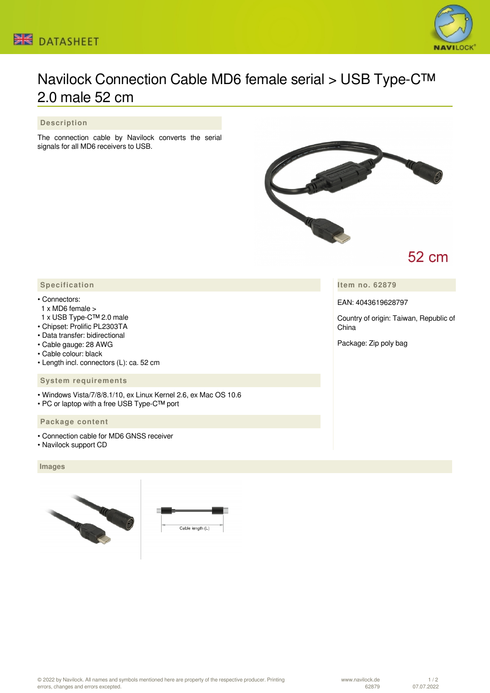



# Navilock Connection Cable MD6 female serial > USB Type-C™ 2.0 male 52 cm

### **Description**

The connection cable by Navilock converts the serial signals for all MD6 receivers to USB.



## 52 cm

**Item no. 62879**

EAN: 4043619628797

Country of origin: Taiwan, Republic of China

Package: Zip poly bag

## **Specification**

#### • Connectors:

- 1 x MD6 female >
- 1 x USB Type-C™ 2.0 male
- Chipset: Prolific PL2303TA
- Data transfer: bidirectional
- Cable gauge: 28 AWG
- Cable colour: black
- Length incl. connectors (L): ca. 52 cm

#### **System requirements**

- Windows Vista/7/8/8.1/10, ex Linux Kernel 2.6, ex Mac OS 10.6
- PC or laptop with a free USB Type-C™ port

## **Package content**

- Connection cable for MD6 GNSS receiver
- Navilock support CD

#### **Images**